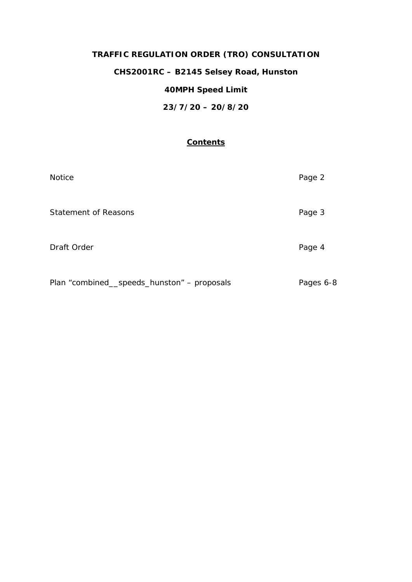# **TRAFFIC REGULATION ORDER (TRO) CONSULTATION**

## **CHS2001RC – B2145 Selsey Road, Hunston**

# **40MPH Speed Limit**

**23/7/20 – 20/8/20**

### **Contents**

| <b>Notice</b>                               | Page 2    |
|---------------------------------------------|-----------|
| <b>Statement of Reasons</b>                 | Page 3    |
| Draft Order                                 | Page 4    |
| Plan "combined__speeds_hunston" - proposals | Pages 6-8 |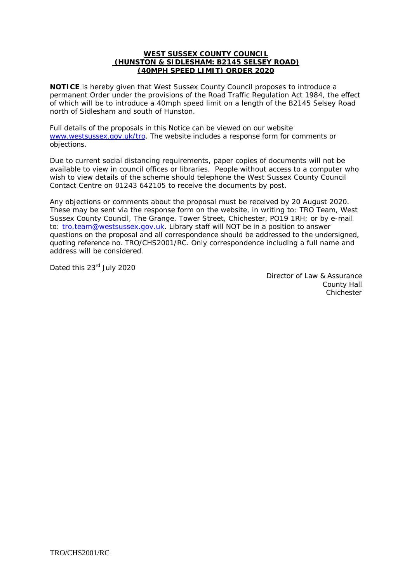#### **WEST SUSSEX COUNTY COUNCIL (HUNSTON & SIDLESHAM: B2145 SELSEY ROAD) (40MPH SPEED LIMIT) ORDER 2020**

**NOTICE** is hereby given that West Sussex County Council proposes to introduce a permanent Order under the provisions of the Road Traffic Regulation Act 1984, the effect of which will be to introduce a 40mph speed limit on a length of the B2145 Selsey Road north of Sidlesham and south of Hunston.

Full details of the proposals in this Notice can be viewed on our website [www.westsussex.gov.uk/tro.](http://www.westsussex.gov.uk/tro) The website includes a response form for comments or objections.

Due to current social distancing requirements, paper copies of documents will not be available to view in council offices or libraries. People without access to a computer who wish to view details of the scheme should telephone the West Sussex County Council Contact Centre on 01243 642105 to receive the documents by post.

Any objections or comments about the proposal must be received by 20 August 2020. These may be sent via the response form on the website, in writing to: TRO Team, West Sussex County Council, The Grange, Tower Street, Chichester, PO19 1RH; or by e-mail to: [tro.team@westsussex.gov.uk.](mailto:tro.team@westsussex.gov.uk) Library staff will NOT be in a position to answer questions on the proposal and all correspondence should be addressed to the undersigned, quoting reference no. TRO/CHS2001/RC. Only correspondence including a full name and address will be considered.

Dated this 23<sup>rd</sup> July 2020

Director of Law & Assurance County Hall **Chichester**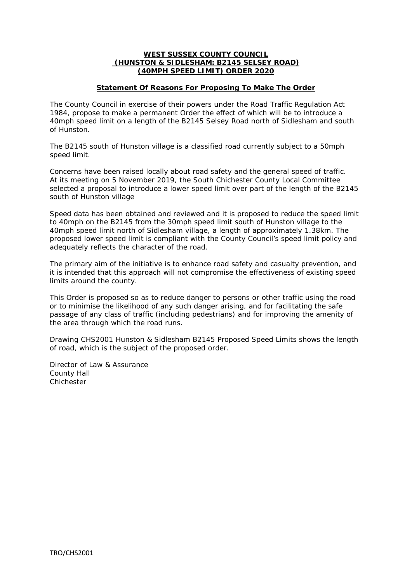#### **WEST SUSSEX COUNTY COUNCIL (HUNSTON & SIDLESHAM: B2145 SELSEY ROAD) (40MPH SPEED LIMIT) ORDER 2020**

#### **Statement Of Reasons For Proposing To Make The Order**

The County Council in exercise of their powers under the Road Traffic Regulation Act 1984, propose to make a permanent Order the effect of which will be to introduce a 40mph speed limit on a length of the B2145 Selsey Road north of Sidlesham and south of Hunston.

The B2145 south of Hunston village is a classified road currently subject to a 50mph speed limit.

Concerns have been raised locally about road safety and the general speed of traffic. At its meeting on 5 November 2019, the South Chichester County Local Committee selected a proposal to introduce a lower speed limit over part of the length of the B2145 south of Hunston village

Speed data has been obtained and reviewed and it is proposed to reduce the speed limit to 40mph on the B2145 from the 30mph speed limit south of Hunston village to the 40mph speed limit north of Sidlesham village, a length of approximately 1.38km. The proposed lower speed limit is compliant with the County Council's speed limit policy and adequately reflects the character of the road.

The primary aim of the initiative is to enhance road safety and casualty prevention, and it is intended that this approach will not compromise the effectiveness of existing speed limits around the county.

This Order is proposed so as to reduce danger to persons or other traffic using the road or to minimise the likelihood of any such danger arising, and for facilitating the safe passage of any class of traffic (including pedestrians) and for improving the amenity of the area through which the road runs.

Drawing CHS2001 Hunston & Sidlesham B2145 Proposed Speed Limits shows the length of road, which is the subject of the proposed order.

Director of Law & Assurance County Hall Chichester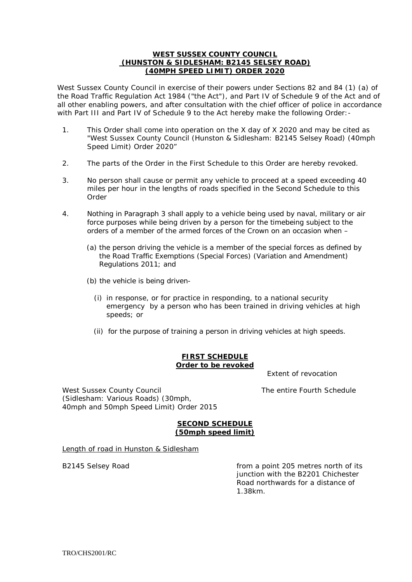#### **WEST SUSSEX COUNTY COUNCIL (HUNSTON & SIDLESHAM: B2145 SELSEY ROAD) (40MPH SPEED LIMIT) ORDER 2020**

West Sussex County Council in exercise of their powers under Sections 82 and 84 (1) (a) of the Road Traffic Regulation Act 1984 ("the Act"), and Part IV of Schedule 9 of the Act and of all other enabling powers, and after consultation with the chief officer of police in accordance with Part III and Part IV of Schedule 9 to the Act hereby make the following Order:-

- 1. This Order shall come into operation on the X day of X 2020 and may be cited as "West Sussex County Council (Hunston & Sidlesham: B2145 Selsey Road) (40mph Speed Limit) Order 2020"
- 2. The parts of the Order in the First Schedule to this Order are hereby revoked.
- 3. No person shall cause or permit any vehicle to proceed at a speed exceeding 40 miles per hour in the lengths of roads specified in the Second Schedule to this Order
- 4. Nothing in Paragraph 3 shall apply to a vehicle being used by naval, military or air force purposes while being driven by a person for the timebeing subject to the orders of a member of the armed forces of the Crown on an occasion when –
	- (a) the person driving the vehicle is a member of the special forces as defined by the Road Traffic Exemptions (Special Forces) (Variation and Amendment) Regulations 2011; and
	- (b) the vehicle is being driven-
		- (i) in response, or for practice in responding, to a national security emergency by a person who has been trained in driving vehicles at high speeds; or
		- (ii) for the purpose of training a person in driving vehicles at high speeds.

#### **FIRST SCHEDULE Order to be revoked**

Extent of revocation

West Sussex County Council **The entire Fourth Schedule** (Sidlesham: Various Roads) (30mph, 40mph and 50mph Speed Limit) Order 2015

#### **SECOND SCHEDULE (50mph speed limit)**

Length of road in Hunston & Sidlesham

B2145 Selsey Road **From a point 205 metres north of its** its junction with the B2201 Chichester Road northwards for a distance of 1.38km.